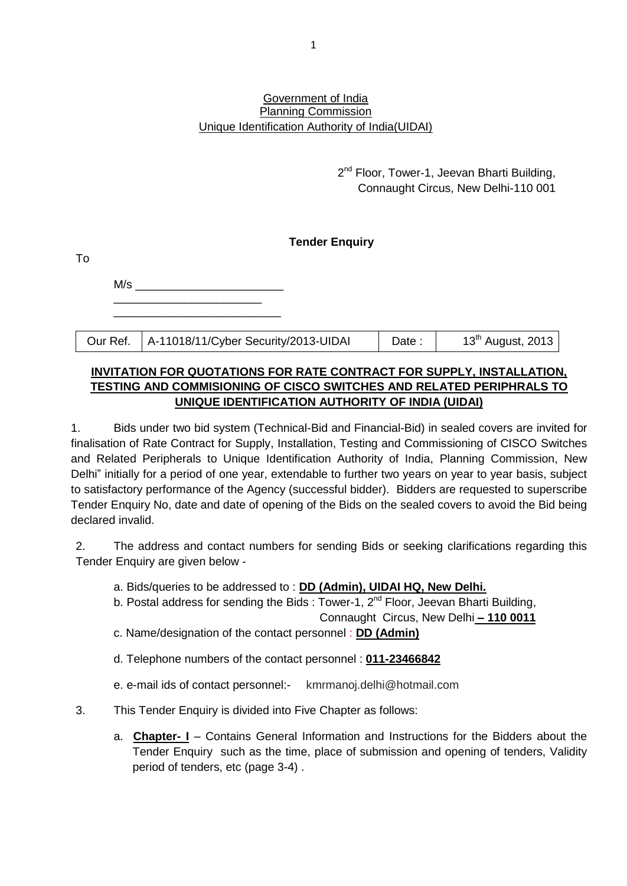#### Government of India Planning Commission Unique Identification Authority of India(UIDAI)

2<sup>nd</sup> Floor, Tower-1, Jeevan Bharti Building, Connaught Circus, New Delhi-110 001

# **Tender Enquiry**

| 1 O |                                                 |       |                               |
|-----|-------------------------------------------------|-------|-------------------------------|
| M/s |                                                 |       |                               |
|     |                                                 |       |                               |
|     |                                                 |       |                               |
|     | Our Ref.   A-11018/11/Cyber Security/2013-UIDAI | Date: | 13 <sup>th</sup> August, 2013 |

 $\tau$ .

# **INVITATION FOR QUOTATIONS FOR RATE CONTRACT FOR SUPPLY, INSTALLATION, TESTING AND COMMISIONING OF CISCO SWITCHES AND RELATED PERIPHRALS TO UNIQUE IDENTIFICATION AUTHORITY OF INDIA (UIDAI)**

1. Bids under two bid system (Technical-Bid and Financial-Bid) in sealed covers are invited for finalisation of Rate Contract for Supply, Installation, Testing and Commissioning of CISCO Switches and Related Peripherals to Unique Identification Authority of India, Planning Commission, New Delhi" initially for a period of one year, extendable to further two years on year to year basis, subject to satisfactory performance of the Agency (successful bidder). Bidders are requested to superscribe Tender Enquiry No, date and date of opening of the Bids on the sealed covers to avoid the Bid being declared invalid.

2. The address and contact numbers for sending Bids or seeking clarifications regarding this Tender Enquiry are given below -

- a. Bids/queries to be addressed to : **DD (Admin), UIDAI HQ, New Delhi.**
- b. Postal address for sending the Bids : Tower-1,  $2<sup>nd</sup>$  Floor, Jeevan Bharti Building,

Connaught Circus, New Delhi **– 110 0011**

- c. Name/designation of the contact personnel : **DD (Admin)**
- d. Telephone numbers of the contact personnel : **011-23466842**
- e. e-mail ids of contact personnel:- kmrmanoj.delhi@hotmail.com

# 3. This Tender Enquiry is divided into Five Chapter as follows:

a. **Chapter- I** – Contains General Information and Instructions for the Bidders about the Tender Enquiry such as the time, place of submission and opening of tenders, Validity period of tenders, etc (page 3-4) .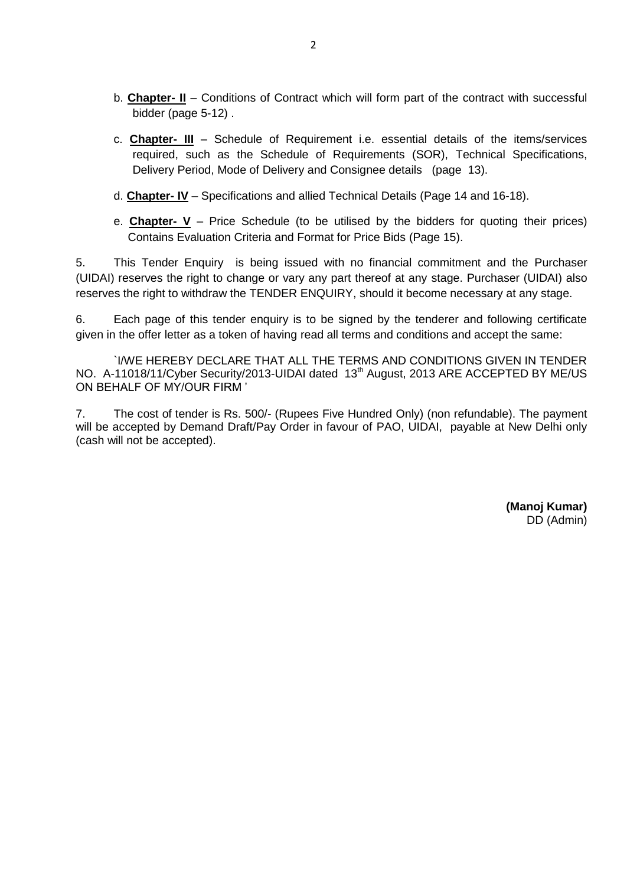- b. **Chapter- II** Conditions of Contract which will form part of the contract with successful bidder (page 5-12) .
- c. **Chapter- III** Schedule of Requirement i.e. essential details of the items/services required, such as the Schedule of Requirements (SOR), Technical Specifications, Delivery Period, Mode of Delivery and Consignee details (page 13).
- d. **Chapter- IV** Specifications and allied Technical Details (Page 14 and 16-18).
- e. **Chapter- V** Price Schedule (to be utilised by the bidders for quoting their prices) Contains Evaluation Criteria and Format for Price Bids (Page 15).

5. This Tender Enquiry is being issued with no financial commitment and the Purchaser (UIDAI) reserves the right to change or vary any part thereof at any stage. Purchaser (UIDAI) also reserves the right to withdraw the TENDER ENQUIRY, should it become necessary at any stage.

6. Each page of this tender enquiry is to be signed by the tenderer and following certificate given in the offer letter as a token of having read all terms and conditions and accept the same:

`I/WE HEREBY DECLARE THAT ALL THE TERMS AND CONDITIONS GIVEN IN TENDER NO. A-11018/11/Cyber Security/2013-UIDAI dated 13<sup>th</sup> August, 2013 ARE ACCEPTED BY ME/US ON BEHALF OF MY/OUR FIRM '

7. The cost of tender is Rs. 500/- (Rupees Five Hundred Only) (non refundable). The payment will be accepted by Demand Draft/Pay Order in favour of PAO, UIDAI, payable at New Delhi only (cash will not be accepted).

> **(Manoj Kumar)** DD (Admin)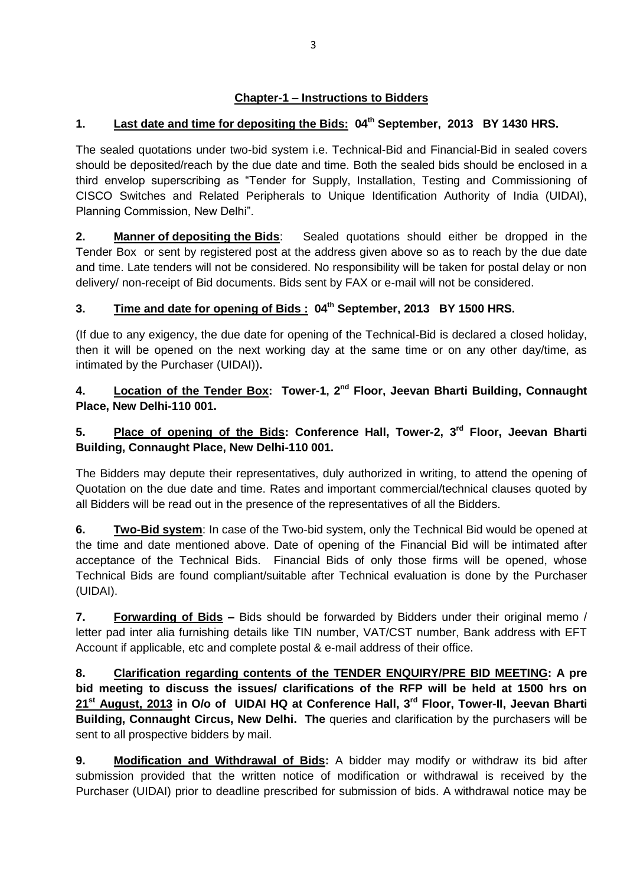# **Chapter-1 – Instructions to Bidders**

# **1. Last date and time for depositing the Bids: 04th September, 2013 BY 1430 HRS.**

The sealed quotations under two-bid system i.e. Technical-Bid and Financial-Bid in sealed covers should be deposited/reach by the due date and time. Both the sealed bids should be enclosed in a third envelop superscribing as "Tender for Supply, Installation, Testing and Commissioning of CISCO Switches and Related Peripherals to Unique Identification Authority of India (UIDAI), Planning Commission, New Delhi".

**2. Manner of depositing the Bids**: Sealed quotations should either be dropped in the Tender Box or sent by registered post at the address given above so as to reach by the due date and time. Late tenders will not be considered. No responsibility will be taken for postal delay or non delivery/ non-receipt of Bid documents. Bids sent by FAX or e-mail will not be considered.

# **3. Time and date for opening of Bids : 04th September, 2013 BY 1500 HRS.**

(If due to any exigency, the due date for opening of the Technical-Bid is declared a closed holiday, then it will be opened on the next working day at the same time or on any other day/time, as intimated by the Purchaser (UIDAI))**.** 

# **4. Location of the Tender Box: Tower-1, 2nd Floor, Jeevan Bharti Building, Connaught Place, New Delhi-110 001.**

# **5. Place of opening of the Bids: Conference Hall, Tower-2, 3rd Floor, Jeevan Bharti Building, Connaught Place, New Delhi-110 001.**

The Bidders may depute their representatives, duly authorized in writing, to attend the opening of Quotation on the due date and time. Rates and important commercial/technical clauses quoted by all Bidders will be read out in the presence of the representatives of all the Bidders.

**6. Two-Bid system**: In case of the Two-bid system, only the Technical Bid would be opened at the time and date mentioned above. Date of opening of the Financial Bid will be intimated after acceptance of the Technical Bids. Financial Bids of only those firms will be opened, whose Technical Bids are found compliant/suitable after Technical evaluation is done by the Purchaser (UIDAI).

**7. Forwarding of Bids –** Bids should be forwarded by Bidders under their original memo / letter pad inter alia furnishing details like TIN number, VAT/CST number, Bank address with EFT Account if applicable, etc and complete postal & e-mail address of their office.

**8. Clarification regarding contents of the TENDER ENQUIRY/PRE BID MEETING: A pre bid meeting to discuss the issues/ clarifications of the RFP will be held at 1500 hrs on 21st August, 2013 in O/o of UIDAI HQ at Conference Hall, 3rd Floor, Tower-II, Jeevan Bharti Building, Connaught Circus, New Delhi. The** queries and clarification by the purchasers will be sent to all prospective bidders by mail.

**9. Modification and Withdrawal of Bids:** A bidder may modify or withdraw its bid after submission provided that the written notice of modification or withdrawal is received by the Purchaser (UIDAI) prior to deadline prescribed for submission of bids. A withdrawal notice may be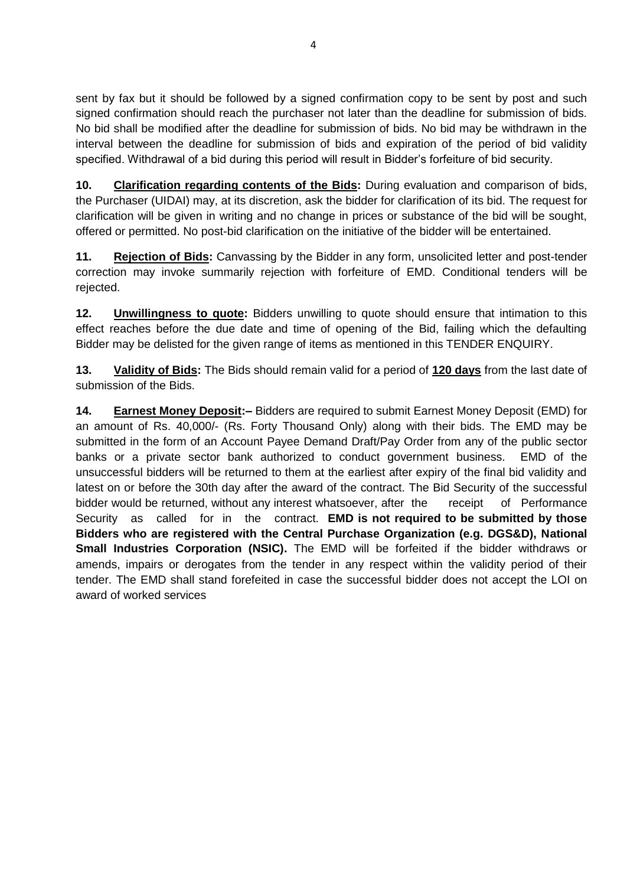sent by fax but it should be followed by a signed confirmation copy to be sent by post and such signed confirmation should reach the purchaser not later than the deadline for submission of bids. No bid shall be modified after the deadline for submission of bids. No bid may be withdrawn in the interval between the deadline for submission of bids and expiration of the period of bid validity specified. Withdrawal of a bid during this period will result in Bidder's forfeiture of bid security.

**10. Clarification regarding contents of the Bids:** During evaluation and comparison of bids, the Purchaser (UIDAI) may, at its discretion, ask the bidder for clarification of its bid. The request for clarification will be given in writing and no change in prices or substance of the bid will be sought, offered or permitted. No post-bid clarification on the initiative of the bidder will be entertained.

**11. Rejection of Bids:** Canvassing by the Bidder in any form, unsolicited letter and post-tender correction may invoke summarily rejection with forfeiture of EMD. Conditional tenders will be rejected.

**12. Unwillingness to quote:** Bidders unwilling to quote should ensure that intimation to this effect reaches before the due date and time of opening of the Bid, failing which the defaulting Bidder may be delisted for the given range of items as mentioned in this TENDER ENQUIRY.

**13. Validity of Bids:** The Bids should remain valid for a period of **120 days** from the last date of submission of the Bids.

**14. Earnest Money Deposit:–** Bidders are required to submit Earnest Money Deposit (EMD) for an amount of Rs. 40,000/- (Rs. Forty Thousand Only) along with their bids. The EMD may be submitted in the form of an Account Payee Demand Draft/Pay Order from any of the public sector banks or a private sector bank authorized to conduct government business. EMD of the unsuccessful bidders will be returned to them at the earliest after expiry of the final bid validity and latest on or before the 30th day after the award of the contract. The Bid Security of the successful bidder would be returned, without any interest whatsoever, after the receipt of Performance Security as called for in the contract. **EMD is not required to be submitted by those Bidders who are registered with the Central Purchase Organization (e.g. DGS&D), National Small Industries Corporation (NSIC).** The EMD will be forfeited if the bidder withdraws or amends, impairs or derogates from the tender in any respect within the validity period of their tender. The EMD shall stand forefeited in case the successful bidder does not accept the LOI on award of worked services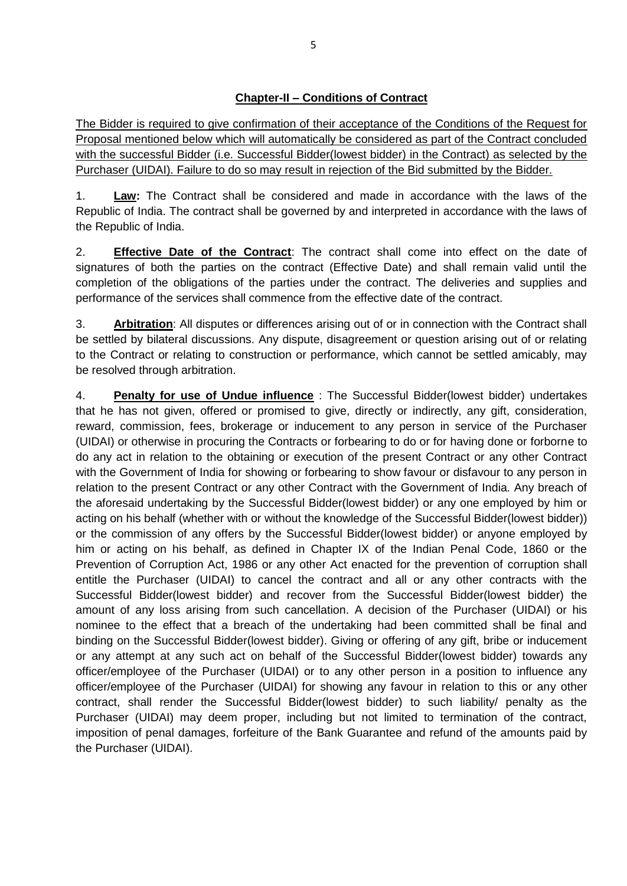The Bidder is required to give confirmation of their acceptance of the Conditions of the Request for Proposal mentioned below which will automatically be considered as part of the Contract concluded with the successful Bidder (i.e. Successful Bidder(lowest bidder) in the Contract) as selected by the Purchaser (UIDAI). Failure to do so may result in rejection of the Bid submitted by the Bidder.

1. **Law:** The Contract shall be considered and made in accordance with the laws of the Republic of India. The contract shall be governed by and interpreted in accordance with the laws of the Republic of India.

2. **Effective Date of the Contract**: The contract shall come into effect on the date of signatures of both the parties on the contract (Effective Date) and shall remain valid until the completion of the obligations of the parties under the contract. The deliveries and supplies and performance of the services shall commence from the effective date of the contract.

3. **Arbitration**: All disputes or differences arising out of or in connection with the Contract shall be settled by bilateral discussions. Any dispute, disagreement or question arising out of or relating to the Contract or relating to construction or performance, which cannot be settled amicably, may be resolved through arbitration.

4. **Penalty for use of Undue influence** : The Successful Bidder(lowest bidder) undertakes that he has not given, offered or promised to give, directly or indirectly, any gift, consideration, reward, commission, fees, brokerage or inducement to any person in service of the Purchaser (UIDAI) or otherwise in procuring the Contracts or forbearing to do or for having done or forborne to do any act in relation to the obtaining or execution of the present Contract or any other Contract with the Government of India for showing or forbearing to show favour or disfavour to any person in relation to the present Contract or any other Contract with the Government of India. Any breach of the aforesaid undertaking by the Successful Bidder(lowest bidder) or any one employed by him or acting on his behalf (whether with or without the knowledge of the Successful Bidder(lowest bidder)) or the commission of any offers by the Successful Bidder(lowest bidder) or anyone employed by him or acting on his behalf, as defined in Chapter IX of the Indian Penal Code, 1860 or the Prevention of Corruption Act, 1986 or any other Act enacted for the prevention of corruption shall entitle the Purchaser (UIDAI) to cancel the contract and all or any other contracts with the Successful Bidder(lowest bidder) and recover from the Successful Bidder(lowest bidder) the amount of any loss arising from such cancellation. A decision of the Purchaser (UIDAI) or his nominee to the effect that a breach of the undertaking had been committed shall be final and binding on the Successful Bidder(lowest bidder). Giving or offering of any gift, bribe or inducement or any attempt at any such act on behalf of the Successful Bidder(lowest bidder) towards any officer/employee of the Purchaser (UIDAI) or to any other person in a position to influence any officer/employee of the Purchaser (UIDAI) for showing any favour in relation to this or any other contract, shall render the Successful Bidder(lowest bidder) to such liability/ penalty as the Purchaser (UIDAI) may deem proper, including but not limited to termination of the contract, imposition of penal damages, forfeiture of the Bank Guarantee and refund of the amounts paid by the Purchaser (UIDAI).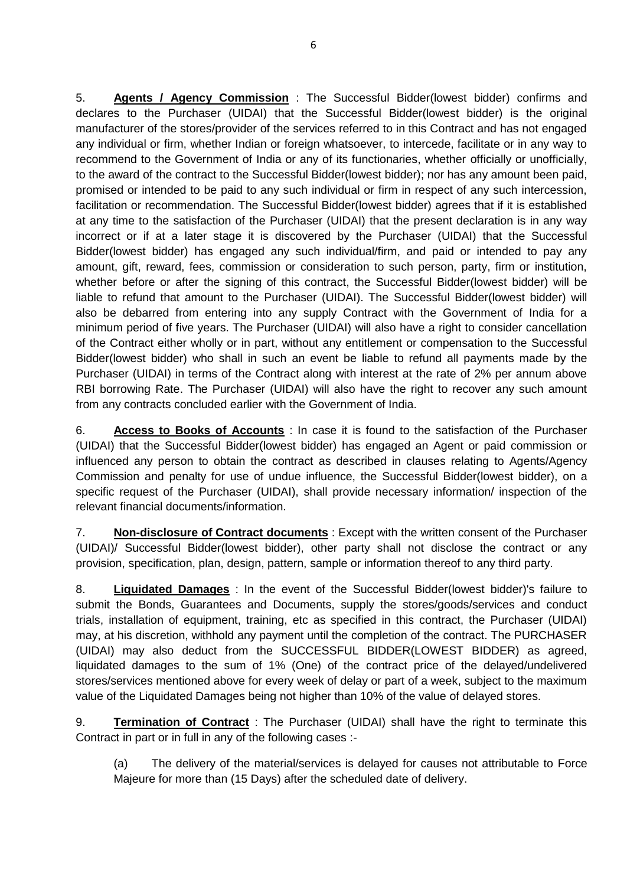5. **Agents / Agency Commission** : The Successful Bidder(lowest bidder) confirms and declares to the Purchaser (UIDAI) that the Successful Bidder(lowest bidder) is the original manufacturer of the stores/provider of the services referred to in this Contract and has not engaged any individual or firm, whether Indian or foreign whatsoever, to intercede, facilitate or in any way to recommend to the Government of India or any of its functionaries, whether officially or unofficially, to the award of the contract to the Successful Bidder(lowest bidder); nor has any amount been paid, promised or intended to be paid to any such individual or firm in respect of any such intercession, facilitation or recommendation. The Successful Bidder(lowest bidder) agrees that if it is established at any time to the satisfaction of the Purchaser (UIDAI) that the present declaration is in any way incorrect or if at a later stage it is discovered by the Purchaser (UIDAI) that the Successful Bidder(lowest bidder) has engaged any such individual/firm, and paid or intended to pay any amount, gift, reward, fees, commission or consideration to such person, party, firm or institution, whether before or after the signing of this contract, the Successful Bidder(lowest bidder) will be liable to refund that amount to the Purchaser (UIDAI). The Successful Bidder(lowest bidder) will also be debarred from entering into any supply Contract with the Government of India for a minimum period of five years. The Purchaser (UIDAI) will also have a right to consider cancellation of the Contract either wholly or in part, without any entitlement or compensation to the Successful Bidder(lowest bidder) who shall in such an event be liable to refund all payments made by the Purchaser (UIDAI) in terms of the Contract along with interest at the rate of 2% per annum above RBI borrowing Rate. The Purchaser (UIDAI) will also have the right to recover any such amount from any contracts concluded earlier with the Government of India.

6. **Access to Books of Accounts** : In case it is found to the satisfaction of the Purchaser (UIDAI) that the Successful Bidder(lowest bidder) has engaged an Agent or paid commission or influenced any person to obtain the contract as described in clauses relating to Agents/Agency Commission and penalty for use of undue influence, the Successful Bidder(lowest bidder), on a specific request of the Purchaser (UIDAI), shall provide necessary information/ inspection of the relevant financial documents/information.

7. **Non-disclosure of Contract documents** : Except with the written consent of the Purchaser (UIDAI)/ Successful Bidder(lowest bidder), other party shall not disclose the contract or any provision, specification, plan, design, pattern, sample or information thereof to any third party.

8. **Liquidated Damages** : In the event of the Successful Bidder(lowest bidder)'s failure to submit the Bonds, Guarantees and Documents, supply the stores/goods/services and conduct trials, installation of equipment, training, etc as specified in this contract, the Purchaser (UIDAI) may, at his discretion, withhold any payment until the completion of the contract. The PURCHASER (UIDAI) may also deduct from the SUCCESSFUL BIDDER(LOWEST BIDDER) as agreed, liquidated damages to the sum of 1% (One) of the contract price of the delayed/undelivered stores/services mentioned above for every week of delay or part of a week, subject to the maximum value of the Liquidated Damages being not higher than 10% of the value of delayed stores.

9. **Termination of Contract** : The Purchaser (UIDAI) shall have the right to terminate this Contract in part or in full in any of the following cases :-

(a) The delivery of the material/services is delayed for causes not attributable to Force Majeure for more than (15 Days) after the scheduled date of delivery.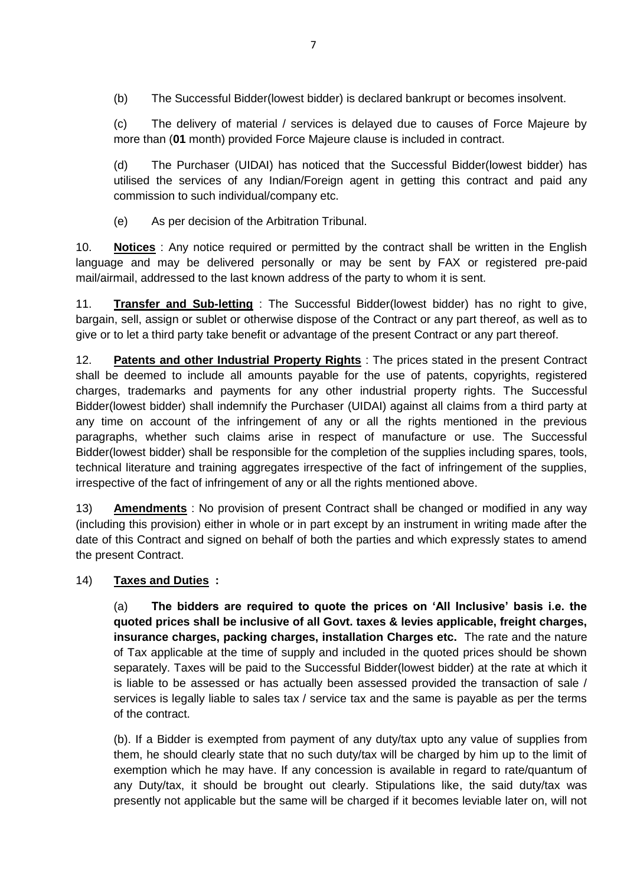(b) The Successful Bidder(lowest bidder) is declared bankrupt or becomes insolvent.

(c) The delivery of material / services is delayed due to causes of Force Majeure by more than (**01** month) provided Force Majeure clause is included in contract.

(d) The Purchaser (UIDAI) has noticed that the Successful Bidder(lowest bidder) has utilised the services of any Indian/Foreign agent in getting this contract and paid any commission to such individual/company etc.

(e) As per decision of the Arbitration Tribunal.

10. **Notices** : Any notice required or permitted by the contract shall be written in the English language and may be delivered personally or may be sent by FAX or registered pre-paid mail/airmail, addressed to the last known address of the party to whom it is sent.

11. **Transfer and Sub-letting** : The Successful Bidder(lowest bidder) has no right to give, bargain, sell, assign or sublet or otherwise dispose of the Contract or any part thereof, as well as to give or to let a third party take benefit or advantage of the present Contract or any part thereof.

12. **Patents and other Industrial Property Rights** : The prices stated in the present Contract shall be deemed to include all amounts payable for the use of patents, copyrights, registered charges, trademarks and payments for any other industrial property rights. The Successful Bidder(lowest bidder) shall indemnify the Purchaser (UIDAI) against all claims from a third party at any time on account of the infringement of any or all the rights mentioned in the previous paragraphs, whether such claims arise in respect of manufacture or use. The Successful Bidder(lowest bidder) shall be responsible for the completion of the supplies including spares, tools, technical literature and training aggregates irrespective of the fact of infringement of the supplies, irrespective of the fact of infringement of any or all the rights mentioned above.

13) **Amendments** : No provision of present Contract shall be changed or modified in any way (including this provision) either in whole or in part except by an instrument in writing made after the date of this Contract and signed on behalf of both the parties and which expressly states to amend the present Contract.

## 14) **Taxes and Duties :**

(a) **The bidders are required to quote the prices on 'All Inclusive' basis i.e. the quoted prices shall be inclusive of all Govt. taxes & levies applicable, freight charges, insurance charges, packing charges, installation Charges etc.** The rate and the nature of Tax applicable at the time of supply and included in the quoted prices should be shown separately. Taxes will be paid to the Successful Bidder(lowest bidder) at the rate at which it is liable to be assessed or has actually been assessed provided the transaction of sale / services is legally liable to sales tax / service tax and the same is payable as per the terms of the contract.

(b). If a Bidder is exempted from payment of any duty/tax upto any value of supplies from them, he should clearly state that no such duty/tax will be charged by him up to the limit of exemption which he may have. If any concession is available in regard to rate/quantum of any Duty/tax, it should be brought out clearly. Stipulations like, the said duty/tax was presently not applicable but the same will be charged if it becomes leviable later on, will not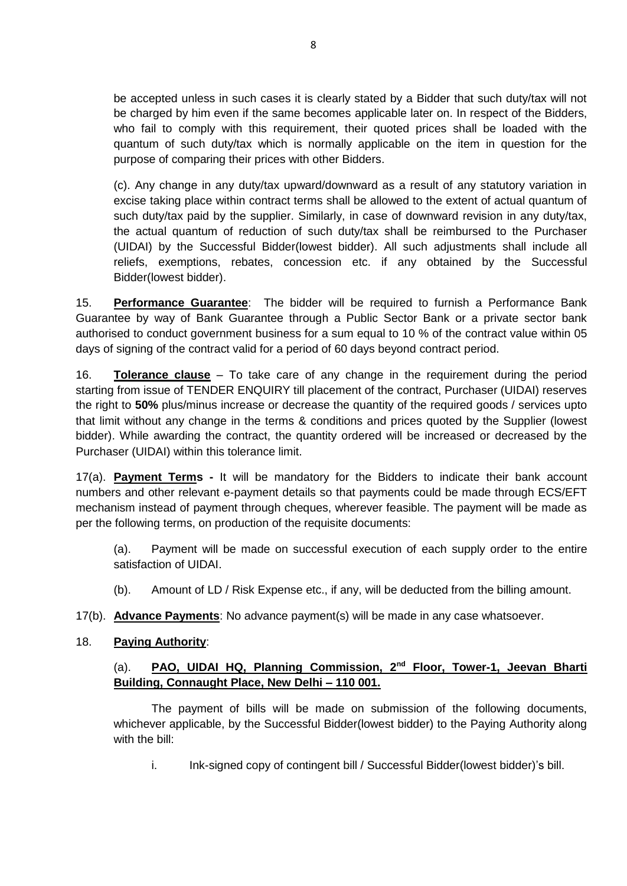be accepted unless in such cases it is clearly stated by a Bidder that such duty/tax will not be charged by him even if the same becomes applicable later on. In respect of the Bidders, who fail to comply with this requirement, their quoted prices shall be loaded with the quantum of such duty/tax which is normally applicable on the item in question for the purpose of comparing their prices with other Bidders.

(c). Any change in any duty/tax upward/downward as a result of any statutory variation in excise taking place within contract terms shall be allowed to the extent of actual quantum of such duty/tax paid by the supplier. Similarly, in case of downward revision in any duty/tax, the actual quantum of reduction of such duty/tax shall be reimbursed to the Purchaser (UIDAI) by the Successful Bidder(lowest bidder). All such adjustments shall include all reliefs, exemptions, rebates, concession etc. if any obtained by the Successful Bidder(lowest bidder).

15. **Performance Guarantee**: The bidder will be required to furnish a Performance Bank Guarantee by way of Bank Guarantee through a Public Sector Bank or a private sector bank authorised to conduct government business for a sum equal to 10 % of the contract value within 05 days of signing of the contract valid for a period of 60 days beyond contract period.

16. **Tolerance clause** – To take care of any change in the requirement during the period starting from issue of TENDER ENQUIRY till placement of the contract, Purchaser (UIDAI) reserves the right to **50%** plus/minus increase or decrease the quantity of the required goods / services upto that limit without any change in the terms & conditions and prices quoted by the Supplier (lowest bidder). While awarding the contract, the quantity ordered will be increased or decreased by the Purchaser (UIDAI) within this tolerance limit.

17(a). **Payment Terms -** It will be mandatory for the Bidders to indicate their bank account numbers and other relevant e-payment details so that payments could be made through ECS/EFT mechanism instead of payment through cheques, wherever feasible. The payment will be made as per the following terms, on production of the requisite documents:

(a). Payment will be made on successful execution of each supply order to the entire satisfaction of UIDAI.

(b). Amount of LD / Risk Expense etc., if any, will be deducted from the billing amount.

17(b). **Advance Payments**: No advance payment(s) will be made in any case whatsoever.

## 18. **Paying Authority**:

# (a). **PAO, UIDAI HQ, Planning Commission, 2nd Floor, Tower-1, Jeevan Bharti Building, Connaught Place, New Delhi – 110 001.**

The payment of bills will be made on submission of the following documents, whichever applicable, by the Successful Bidder(lowest bidder) to the Paying Authority along with the bill:

i. Ink-signed copy of contingent bill / Successful Bidder(lowest bidder)'s bill.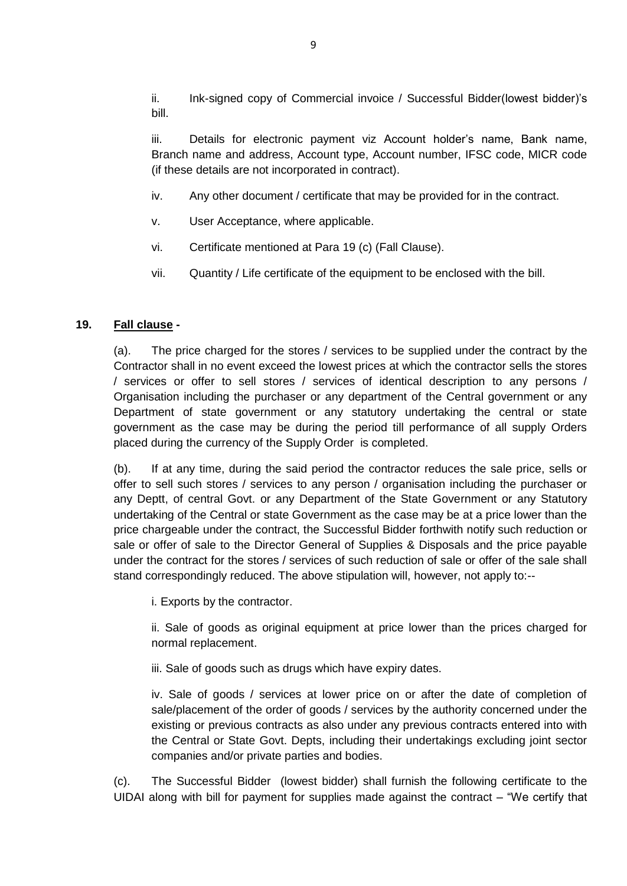ii. Ink-signed copy of Commercial invoice / Successful Bidder(lowest bidder)'s bill.

iii. Details for electronic payment viz Account holder's name, Bank name, Branch name and address, Account type, Account number, IFSC code, MICR code (if these details are not incorporated in contract).

- iv. Any other document / certificate that may be provided for in the contract.
- v. User Acceptance, where applicable.
- vi. Certificate mentioned at Para 19 (c) (Fall Clause).
- vii. Quantity / Life certificate of the equipment to be enclosed with the bill.

### **19. Fall clause -**

(a). The price charged for the stores / services to be supplied under the contract by the Contractor shall in no event exceed the lowest prices at which the contractor sells the stores / services or offer to sell stores / services of identical description to any persons / Organisation including the purchaser or any department of the Central government or any Department of state government or any statutory undertaking the central or state government as the case may be during the period till performance of all supply Orders placed during the currency of the Supply Order is completed.

(b). If at any time, during the said period the contractor reduces the sale price, sells or offer to sell such stores / services to any person / organisation including the purchaser or any Deptt, of central Govt. or any Department of the State Government or any Statutory undertaking of the Central or state Government as the case may be at a price lower than the price chargeable under the contract, the Successful Bidder forthwith notify such reduction or sale or offer of sale to the Director General of Supplies & Disposals and the price payable under the contract for the stores / services of such reduction of sale or offer of the sale shall stand correspondingly reduced. The above stipulation will, however, not apply to:--

i. Exports by the contractor.

ii. Sale of goods as original equipment at price lower than the prices charged for normal replacement.

iii. Sale of goods such as drugs which have expiry dates.

iv. Sale of goods / services at lower price on or after the date of completion of sale/placement of the order of goods / services by the authority concerned under the existing or previous contracts as also under any previous contracts entered into with the Central or State Govt. Depts, including their undertakings excluding joint sector companies and/or private parties and bodies.

(c). The Successful Bidder (lowest bidder) shall furnish the following certificate to the UIDAI along with bill for payment for supplies made against the contract – "We certify that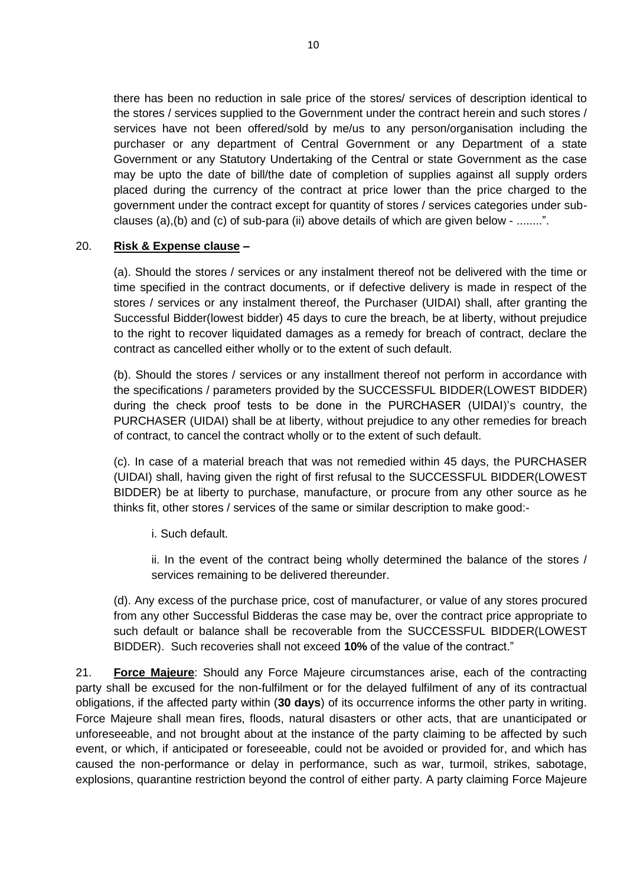there has been no reduction in sale price of the stores/ services of description identical to the stores / services supplied to the Government under the contract herein and such stores / services have not been offered/sold by me/us to any person/organisation including the purchaser or any department of Central Government or any Department of a state Government or any Statutory Undertaking of the Central or state Government as the case may be upto the date of bill/the date of completion of supplies against all supply orders placed during the currency of the contract at price lower than the price charged to the government under the contract except for quantity of stores / services categories under subclauses (a),(b) and (c) of sub-para (ii) above details of which are given below - ........".

### 20. **Risk & Expense clause –**

(a). Should the stores / services or any instalment thereof not be delivered with the time or time specified in the contract documents, or if defective delivery is made in respect of the stores / services or any instalment thereof, the Purchaser (UIDAI) shall, after granting the Successful Bidder(lowest bidder) 45 days to cure the breach, be at liberty, without prejudice to the right to recover liquidated damages as a remedy for breach of contract, declare the contract as cancelled either wholly or to the extent of such default.

(b). Should the stores / services or any installment thereof not perform in accordance with the specifications / parameters provided by the SUCCESSFUL BIDDER(LOWEST BIDDER) during the check proof tests to be done in the PURCHASER (UIDAI)'s country, the PURCHASER (UIDAI) shall be at liberty, without prejudice to any other remedies for breach of contract, to cancel the contract wholly or to the extent of such default.

(c). In case of a material breach that was not remedied within 45 days, the PURCHASER (UIDAI) shall, having given the right of first refusal to the SUCCESSFUL BIDDER(LOWEST BIDDER) be at liberty to purchase, manufacture, or procure from any other source as he thinks fit, other stores / services of the same or similar description to make good:-

i. Such default.

ii. In the event of the contract being wholly determined the balance of the stores / services remaining to be delivered thereunder.

(d). Any excess of the purchase price, cost of manufacturer, or value of any stores procured from any other Successful Bidderas the case may be, over the contract price appropriate to such default or balance shall be recoverable from the SUCCESSFUL BIDDER(LOWEST BIDDER). Such recoveries shall not exceed **10%** of the value of the contract."

21. **Force Majeure**: Should any Force Majeure circumstances arise, each of the contracting party shall be excused for the non-fulfilment or for the delayed fulfilment of any of its contractual obligations, if the affected party within (**30 days**) of its occurrence informs the other party in writing. Force Majeure shall mean fires, floods, natural disasters or other acts, that are unanticipated or unforeseeable, and not brought about at the instance of the party claiming to be affected by such event, or which, if anticipated or foreseeable, could not be avoided or provided for, and which has caused the non-performance or delay in performance, such as war, turmoil, strikes, sabotage, explosions, quarantine restriction beyond the control of either party. A party claiming Force Majeure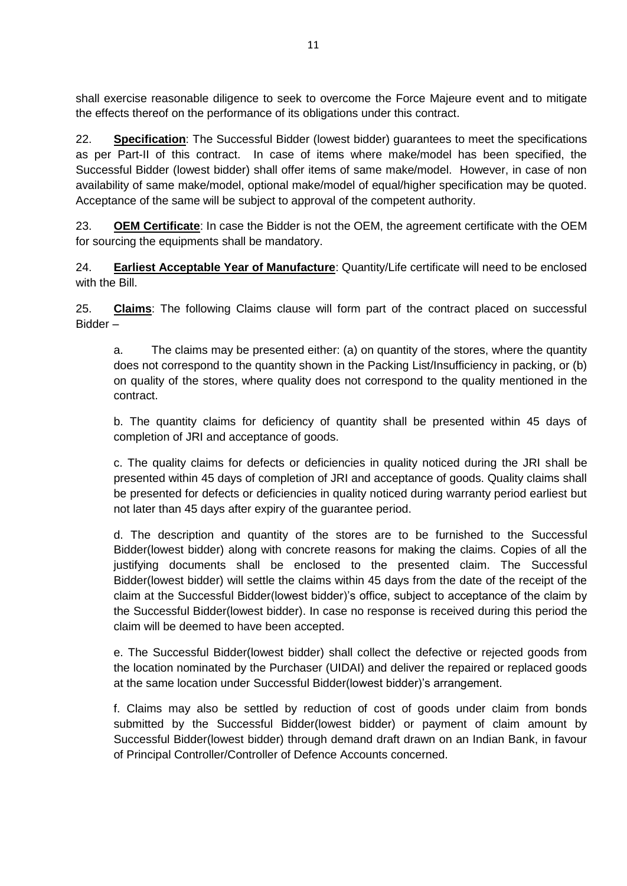shall exercise reasonable diligence to seek to overcome the Force Majeure event and to mitigate the effects thereof on the performance of its obligations under this contract.

22. **Specification**: The Successful Bidder (lowest bidder) guarantees to meet the specifications as per Part-II of this contract. In case of items where make/model has been specified, the Successful Bidder (lowest bidder) shall offer items of same make/model. However, in case of non availability of same make/model, optional make/model of equal/higher specification may be quoted. Acceptance of the same will be subject to approval of the competent authority.

23. **OEM Certificate**: In case the Bidder is not the OEM, the agreement certificate with the OEM for sourcing the equipments shall be mandatory.

24. **Earliest Acceptable Year of Manufacture**: Quantity/Life certificate will need to be enclosed with the Bill.

25. **Claims**: The following Claims clause will form part of the contract placed on successful Bidder –

a. The claims may be presented either: (a) on quantity of the stores, where the quantity does not correspond to the quantity shown in the Packing List/Insufficiency in packing, or (b) on quality of the stores, where quality does not correspond to the quality mentioned in the contract.

b. The quantity claims for deficiency of quantity shall be presented within 45 days of completion of JRI and acceptance of goods.

c. The quality claims for defects or deficiencies in quality noticed during the JRI shall be presented within 45 days of completion of JRI and acceptance of goods. Quality claims shall be presented for defects or deficiencies in quality noticed during warranty period earliest but not later than 45 days after expiry of the guarantee period.

d. The description and quantity of the stores are to be furnished to the Successful Bidder(lowest bidder) along with concrete reasons for making the claims. Copies of all the justifying documents shall be enclosed to the presented claim. The Successful Bidder(lowest bidder) will settle the claims within 45 days from the date of the receipt of the claim at the Successful Bidder(lowest bidder)'s office, subject to acceptance of the claim by the Successful Bidder(lowest bidder). In case no response is received during this period the claim will be deemed to have been accepted.

e. The Successful Bidder(lowest bidder) shall collect the defective or rejected goods from the location nominated by the Purchaser (UIDAI) and deliver the repaired or replaced goods at the same location under Successful Bidder(lowest bidder)'s arrangement.

f. Claims may also be settled by reduction of cost of goods under claim from bonds submitted by the Successful Bidder(lowest bidder) or payment of claim amount by Successful Bidder(lowest bidder) through demand draft drawn on an Indian Bank, in favour of Principal Controller/Controller of Defence Accounts concerned.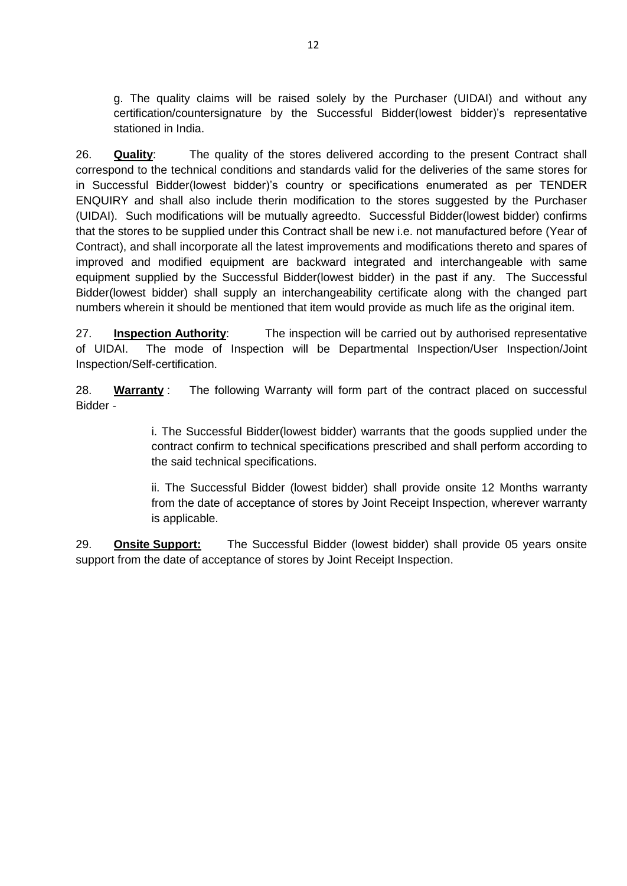g. The quality claims will be raised solely by the Purchaser (UIDAI) and without any certification/countersignature by the Successful Bidder(lowest bidder)'s representative stationed in India.

26. **Quality**: The quality of the stores delivered according to the present Contract shall correspond to the technical conditions and standards valid for the deliveries of the same stores for in Successful Bidder(lowest bidder)'s country or specifications enumerated as per TENDER ENQUIRY and shall also include therin modification to the stores suggested by the Purchaser (UIDAI). Such modifications will be mutually agreedto. Successful Bidder(lowest bidder) confirms that the stores to be supplied under this Contract shall be new i.e. not manufactured before (Year of Contract), and shall incorporate all the latest improvements and modifications thereto and spares of improved and modified equipment are backward integrated and interchangeable with same equipment supplied by the Successful Bidder(lowest bidder) in the past if any. The Successful Bidder(lowest bidder) shall supply an interchangeability certificate along with the changed part numbers wherein it should be mentioned that item would provide as much life as the original item.

27. **Inspection Authority**: The inspection will be carried out by authorised representative of UIDAI. The mode of Inspection will be Departmental Inspection/User Inspection/Joint Inspection/Self-certification.

28. **Warranty** : The following Warranty will form part of the contract placed on successful Bidder -

> i. The Successful Bidder(lowest bidder) warrants that the goods supplied under the contract confirm to technical specifications prescribed and shall perform according to the said technical specifications.

> ii. The Successful Bidder (lowest bidder) shall provide onsite 12 Months warranty from the date of acceptance of stores by Joint Receipt Inspection, wherever warranty is applicable.

29. **Onsite Support:** The Successful Bidder (lowest bidder) shall provide 05 years onsite support from the date of acceptance of stores by Joint Receipt Inspection.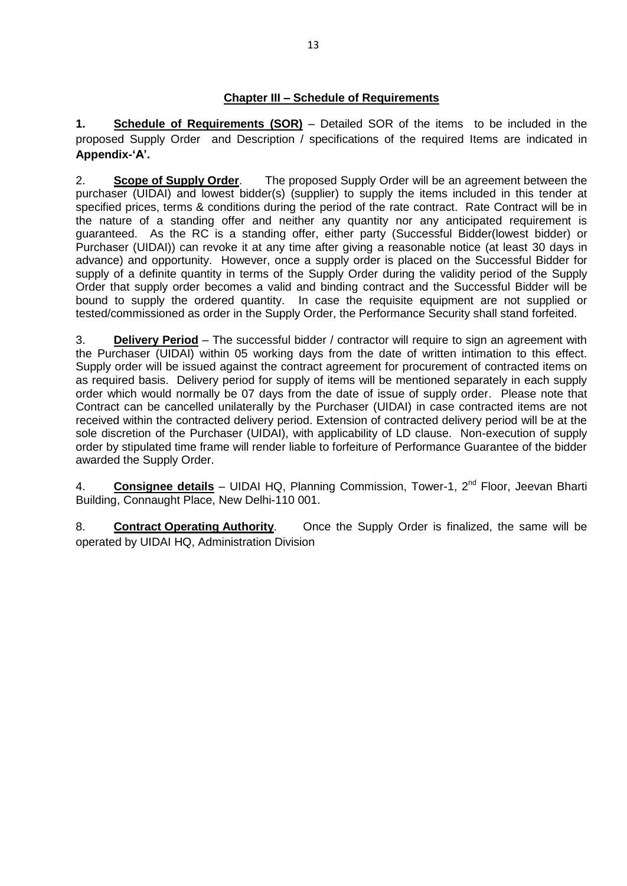### **Chapter III – Schedule of Requirements**

**1. Schedule of Requirements (SOR)** – Detailed SOR of the items to be included in the proposed Supply Order and Description / specifications of the required Items are indicated in **Appendix-'A'.**

2. **Scope of Supply Order**. The proposed Supply Order will be an agreement between the purchaser (UIDAI) and lowest bidder(s) (supplier) to supply the items included in this tender at specified prices, terms & conditions during the period of the rate contract. Rate Contract will be in the nature of a standing offer and neither any quantity nor any anticipated requirement is guaranteed. As the RC is a standing offer, either party (Successful Bidder(lowest bidder) or Purchaser (UIDAI)) can revoke it at any time after giving a reasonable notice (at least 30 days in advance) and opportunity. However, once a supply order is placed on the Successful Bidder for supply of a definite quantity in terms of the Supply Order during the validity period of the Supply Order that supply order becomes a valid and binding contract and the Successful Bidder will be bound to supply the ordered quantity. In case the requisite equipment are not supplied or tested/commissioned as order in the Supply Order, the Performance Security shall stand forfeited.

3. **Delivery Period** – The successful bidder / contractor will require to sign an agreement with the Purchaser (UIDAI) within 05 working days from the date of written intimation to this effect. Supply order will be issued against the contract agreement for procurement of contracted items on as required basis. Delivery period for supply of items will be mentioned separately in each supply order which would normally be 07 days from the date of issue of supply order. Please note that Contract can be cancelled unilaterally by the Purchaser (UIDAI) in case contracted items are not received within the contracted delivery period. Extension of contracted delivery period will be at the sole discretion of the Purchaser (UIDAI), with applicability of LD clause. Non-execution of supply order by stipulated time frame will render liable to forfeiture of Performance Guarantee of the bidder awarded the Supply Order.

4. **Consignee details** – UIDAI HQ, Planning Commission, Tower-1, 2<sup>nd</sup> Floor, Jeevan Bharti Building, Connaught Place, New Delhi-110 001.

8. **Contract Operating Authority**. Once the Supply Order is finalized, the same will be operated by UIDAI HQ, Administration Division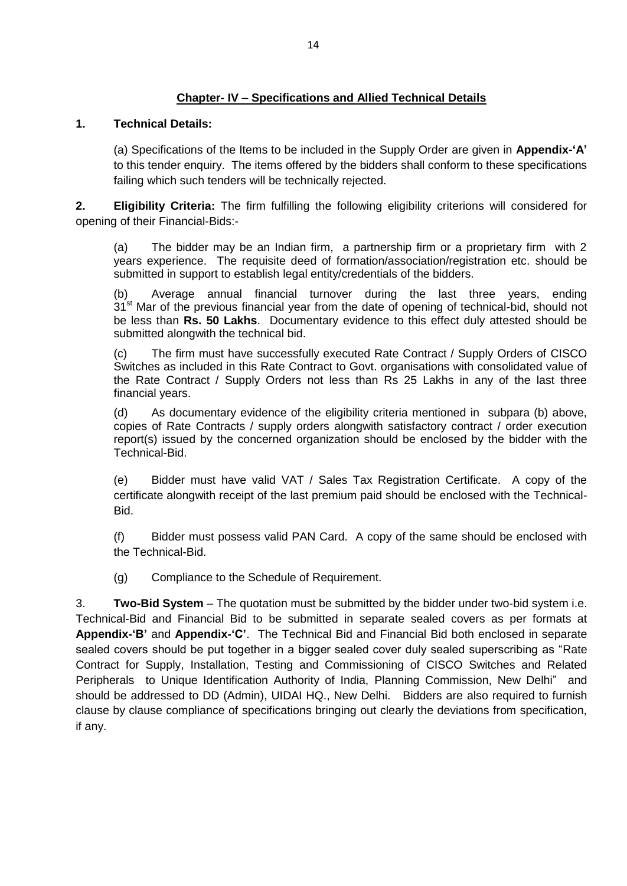## **Chapter- IV – Specifications and Allied Technical Details**

### **1. Technical Details:**

(a) Specifications of the Items to be included in the Supply Order are given in **Appendix-'A'** to this tender enquiry. The items offered by the bidders shall conform to these specifications failing which such tenders will be technically rejected.

**2. Eligibility Criteria:** The firm fulfilling the following eligibility criterions will considered for opening of their Financial-Bids:-

(a) The bidder may be an Indian firm, a partnership firm or a proprietary firm with 2 years experience. The requisite deed of formation/association/registration etc. should be submitted in support to establish legal entity/credentials of the bidders.

(b) Average annual financial turnover during the last three years, ending 31<sup>st</sup> Mar of the previous financial year from the date of opening of technical-bid, should not be less than **Rs. 50 Lakhs**. Documentary evidence to this effect duly attested should be submitted alongwith the technical bid.

(c) The firm must have successfully executed Rate Contract / Supply Orders of CISCO Switches as included in this Rate Contract to Govt. organisations with consolidated value of the Rate Contract / Supply Orders not less than Rs 25 Lakhs in any of the last three financial years.

(d) As documentary evidence of the eligibility criteria mentioned in subpara (b) above, copies of Rate Contracts / supply orders alongwith satisfactory contract / order execution report(s) issued by the concerned organization should be enclosed by the bidder with the Technical-Bid.

(e) Bidder must have valid VAT / Sales Tax Registration Certificate. A copy of the certificate alongwith receipt of the last premium paid should be enclosed with the Technical-Bid.

(f) Bidder must possess valid PAN Card. A copy of the same should be enclosed with the Technical-Bid.

(g) Compliance to the Schedule of Requirement.

3. **Two-Bid System** – The quotation must be submitted by the bidder under two-bid system i.e. Technical-Bid and Financial Bid to be submitted in separate sealed covers as per formats at **Appendix-'B'** and **Appendix-'C'**. The Technical Bid and Financial Bid both enclosed in separate sealed covers should be put together in a bigger sealed cover duly sealed superscribing as "Rate Contract for Supply, Installation, Testing and Commissioning of CISCO Switches and Related Peripherals to Unique Identification Authority of India, Planning Commission, New Delhi" and should be addressed to DD (Admin), UIDAI HQ., New Delhi. Bidders are also required to furnish clause by clause compliance of specifications bringing out clearly the deviations from specification, if any.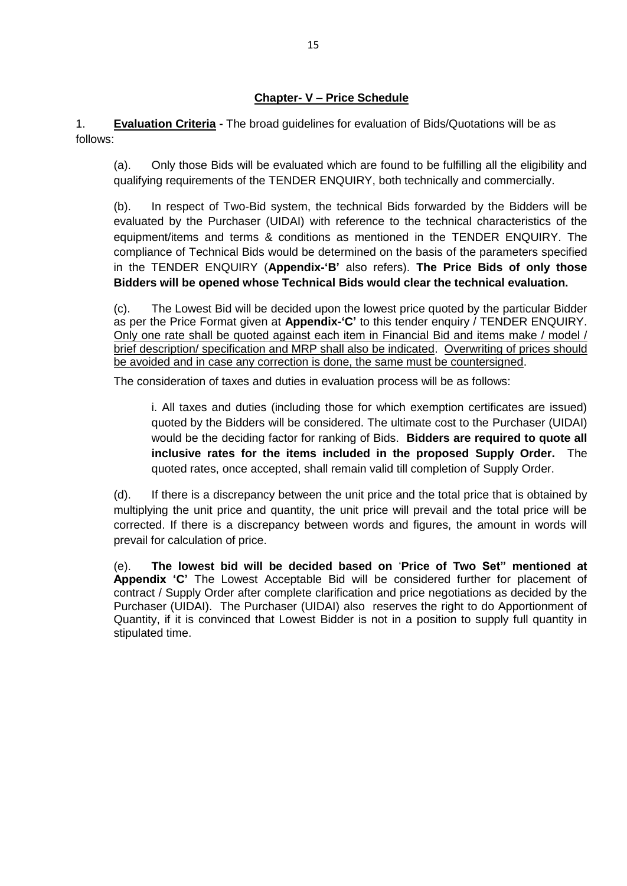### **Chapter- V – Price Schedule**

1. **Evaluation Criteria -** The broad guidelines for evaluation of Bids/Quotations will be as follows:

(a). Only those Bids will be evaluated which are found to be fulfilling all the eligibility and qualifying requirements of the TENDER ENQUIRY, both technically and commercially.

(b). In respect of Two-Bid system, the technical Bids forwarded by the Bidders will be evaluated by the Purchaser (UIDAI) with reference to the technical characteristics of the equipment/items and terms & conditions as mentioned in the TENDER ENQUIRY. The compliance of Technical Bids would be determined on the basis of the parameters specified in the TENDER ENQUIRY (**Appendix-'B'** also refers). **The Price Bids of only those Bidders will be opened whose Technical Bids would clear the technical evaluation.**

(c). The Lowest Bid will be decided upon the lowest price quoted by the particular Bidder as per the Price Format given at **Appendix-'C'** to this tender enquiry / TENDER ENQUIRY. Only one rate shall be quoted against each item in Financial Bid and items make / model / brief description/ specification and MRP shall also be indicated. Overwriting of prices should be avoided and in case any correction is done, the same must be countersigned.

The consideration of taxes and duties in evaluation process will be as follows:

i. All taxes and duties (including those for which exemption certificates are issued) quoted by the Bidders will be considered. The ultimate cost to the Purchaser (UIDAI) would be the deciding factor for ranking of Bids. **Bidders are required to quote all inclusive rates for the items included in the proposed Supply Order.** The quoted rates, once accepted, shall remain valid till completion of Supply Order.

(d). If there is a discrepancy between the unit price and the total price that is obtained by multiplying the unit price and quantity, the unit price will prevail and the total price will be corrected. If there is a discrepancy between words and figures, the amount in words will prevail for calculation of price.

(e). **The lowest bid will be decided based on** '**Price of Two Set" mentioned at Appendix 'C'** The Lowest Acceptable Bid will be considered further for placement of contract / Supply Order after complete clarification and price negotiations as decided by the Purchaser (UIDAI). The Purchaser (UIDAI) also reserves the right to do Apportionment of Quantity, if it is convinced that Lowest Bidder is not in a position to supply full quantity in stipulated time.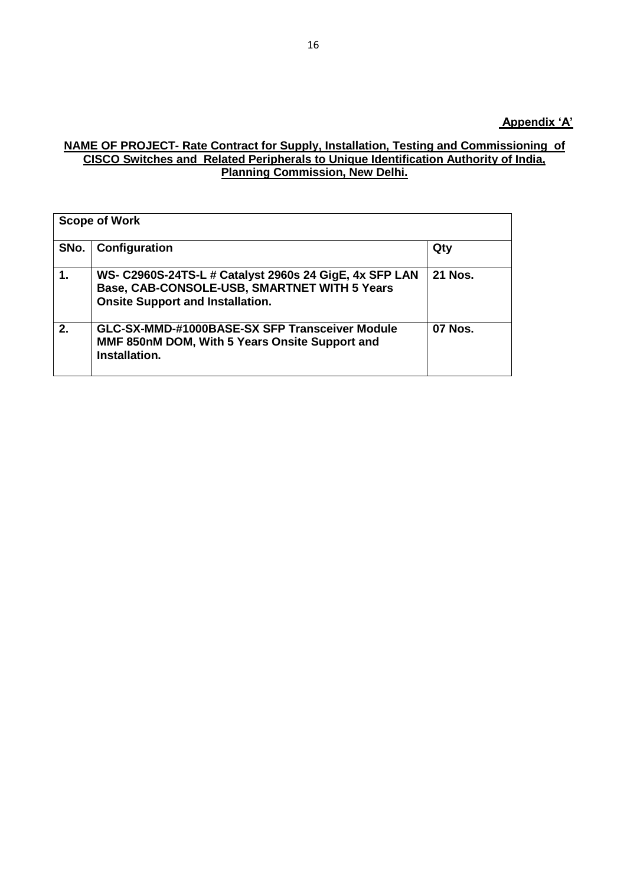#### **NAME OF PROJECT- Rate Contract for Supply, Installation, Testing and Commissioning of CISCO Switches and Related Peripherals to Unique Identification Authority of India, Planning Commission, New Delhi.**

| <b>Scope of Work</b> |                                                                                                                                                   |                |  |  |
|----------------------|---------------------------------------------------------------------------------------------------------------------------------------------------|----------------|--|--|
| SNo.                 | Configuration                                                                                                                                     | Qty            |  |  |
| 1.                   | WS- C2960S-24TS-L # Catalyst 2960s 24 GigE, 4x SFP LAN<br>Base, CAB-CONSOLE-USB, SMARTNET WITH 5 Years<br><b>Onsite Support and Installation.</b> | <b>21 Nos.</b> |  |  |
| 2.                   | GLC-SX-MMD-#1000BASE-SX SFP Transceiver Module<br>MMF 850nM DOM, With 5 Years Onsite Support and<br>Installation.                                 | <b>07 Nos.</b> |  |  |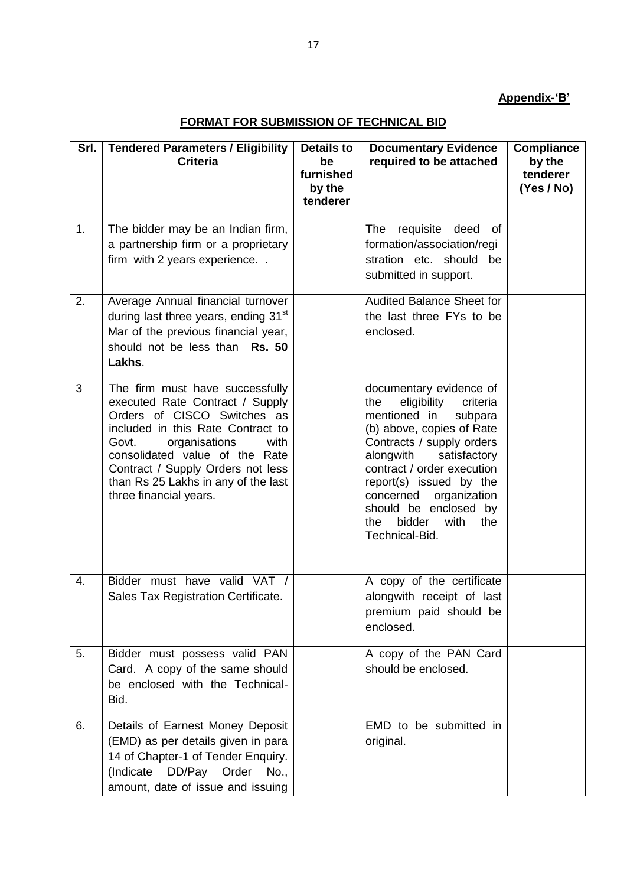# **Appendix-'B'**

## **FORMAT FOR SUBMISSION OF TECHNICAL BID**

| Srl. | <b>Tendered Parameters / Eligibility</b>                                                                                                                                                                                                                                                                         | <b>Details to</b>                     | <b>Documentary Evidence</b>                                                                                                                                                                                                                                                                                                                  | <b>Compliance</b>                |
|------|------------------------------------------------------------------------------------------------------------------------------------------------------------------------------------------------------------------------------------------------------------------------------------------------------------------|---------------------------------------|----------------------------------------------------------------------------------------------------------------------------------------------------------------------------------------------------------------------------------------------------------------------------------------------------------------------------------------------|----------------------------------|
|      | <b>Criteria</b>                                                                                                                                                                                                                                                                                                  | be<br>furnished<br>by the<br>tenderer | required to be attached                                                                                                                                                                                                                                                                                                                      | by the<br>tenderer<br>(Yes / No) |
| 1.   | The bidder may be an Indian firm,<br>a partnership firm or a proprietary<br>firm with 2 years experience                                                                                                                                                                                                         |                                       | The<br>requisite<br>deed<br>of<br>formation/association/regi<br>stration etc. should<br>be<br>submitted in support.                                                                                                                                                                                                                          |                                  |
| 2.   | Average Annual financial turnover<br>during last three years, ending 31 <sup>st</sup><br>Mar of the previous financial year,<br>should not be less than Rs. 50<br>Lakhs.                                                                                                                                         |                                       | Audited Balance Sheet for<br>the last three FYs to be<br>enclosed.                                                                                                                                                                                                                                                                           |                                  |
| 3    | The firm must have successfully<br>executed Rate Contract / Supply<br>Orders of CISCO Switches as<br>included in this Rate Contract to<br>Govt.<br>organisations<br>with<br>consolidated value of the Rate<br>Contract / Supply Orders not less<br>than Rs 25 Lakhs in any of the last<br>three financial years. |                                       | documentary evidence of<br>eligibility<br>criteria<br>the<br>mentioned in<br>subpara<br>(b) above, copies of Rate<br>Contracts / supply orders<br>alongwith<br>satisfactory<br>contract / order execution<br>report(s) issued by the<br>organization<br>concerned<br>should be enclosed by<br>with<br>the<br>bidder<br>the<br>Technical-Bid. |                                  |
| 4.   | Bidder must have valid VAT /<br>Sales Tax Registration Certificate.                                                                                                                                                                                                                                              |                                       | A copy of the certificate<br>alongwith receipt of last<br>premium paid should be<br>enclosed.                                                                                                                                                                                                                                                |                                  |
| 5.   | Bidder must possess valid PAN<br>Card. A copy of the same should<br>be enclosed with the Technical-<br>Bid.                                                                                                                                                                                                      |                                       | A copy of the PAN Card<br>should be enclosed.                                                                                                                                                                                                                                                                                                |                                  |
| 6.   | Details of Earnest Money Deposit<br>(EMD) as per details given in para<br>14 of Chapter-1 of Tender Enquiry.<br>(Indicate DD/Pay Order<br>No.,<br>amount, date of issue and issuing                                                                                                                              |                                       | EMD to be submitted in<br>original.                                                                                                                                                                                                                                                                                                          |                                  |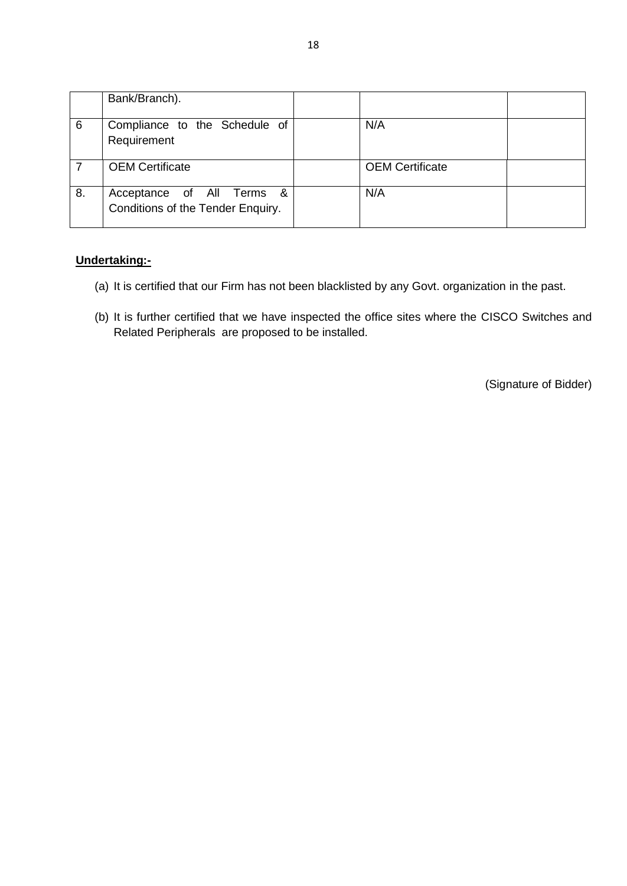|    | Bank/Branch).                                                  |                        |  |
|----|----------------------------------------------------------------|------------------------|--|
| 6  | Compliance to the Schedule of<br>Requirement                   | N/A                    |  |
|    | <b>OEM Certificate</b>                                         | <b>OEM Certificate</b> |  |
| 8. | Acceptance of All Terms &<br>Conditions of the Tender Enquiry. | N/A                    |  |

### **Undertaking:-**

- (a) It is certified that our Firm has not been blacklisted by any Govt. organization in the past.
- (b) It is further certified that we have inspected the office sites where the CISCO Switches and Related Peripherals are proposed to be installed.

(Signature of Bidder)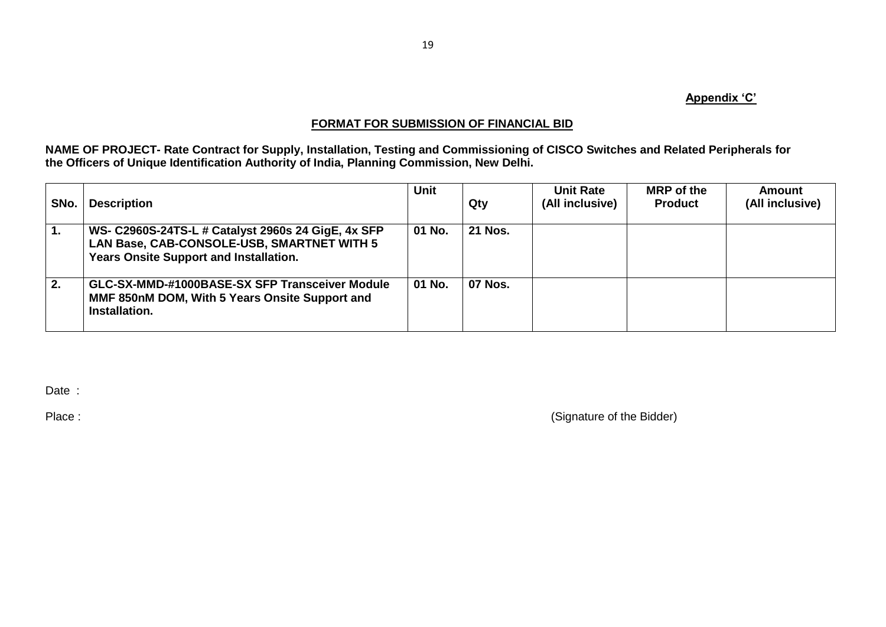### **Appendix 'C'**

### **FORMAT FOR SUBMISSION OF FINANCIAL BID**

**NAME OF PROJECT- Rate Contract for Supply, Installation, Testing and Commissioning of CISCO Switches and Related Peripherals for the Officers of Unique Identification Authority of India, Planning Commission, New Delhi.**

| SNo. | <b>Description</b>                                                                                                                                | <b>Unit</b> | Qty            | <b>Unit Rate</b><br>(All inclusive) | <b>MRP</b> of the<br><b>Product</b> | <b>Amount</b><br>(All inclusive) |
|------|---------------------------------------------------------------------------------------------------------------------------------------------------|-------------|----------------|-------------------------------------|-------------------------------------|----------------------------------|
| 1.   | WS- C2960S-24TS-L # Catalyst 2960s 24 GigE, 4x SFP<br>LAN Base, CAB-CONSOLE-USB, SMARTNET WITH 5<br><b>Years Onsite Support and Installation.</b> | 01 No.      | <b>21 Nos.</b> |                                     |                                     |                                  |
| 2.   | GLC-SX-MMD-#1000BASE-SX SFP Transceiver Module<br>MMF 850nM DOM, With 5 Years Onsite Support and<br>Installation.                                 | 01 No.      | <b>07 Nos.</b> |                                     |                                     |                                  |

Date :

Place : (Signature of the Bidder)